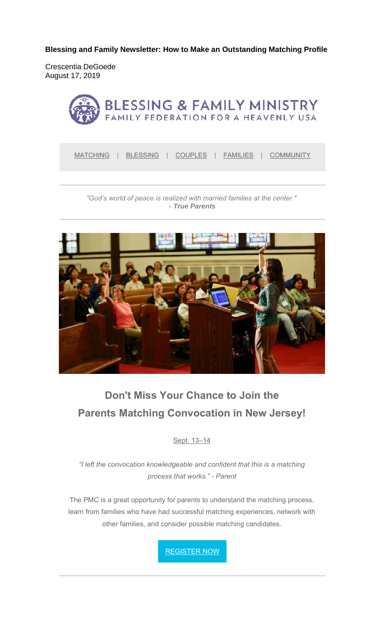**Blessing and Family Newsletter: How to Make an Outstanding Matching Profile** 

Crescentia DeGoede August 17, 2019



*"God's world of peace is realized with married families at the center." - True Parents*



# **Don't Miss Your Chance to Join the Parents Matching Convocation in New Jersey!**

Sept. 13–14

*"I left the convocation knowledgeable and confident that this is a matching process that works." - Parent*

The PMC is a great opportunity for parents to understand the matching process, learn from families who have had successful matching experiences, network with other families, and consider possible matching candidates.

REGISTER NOW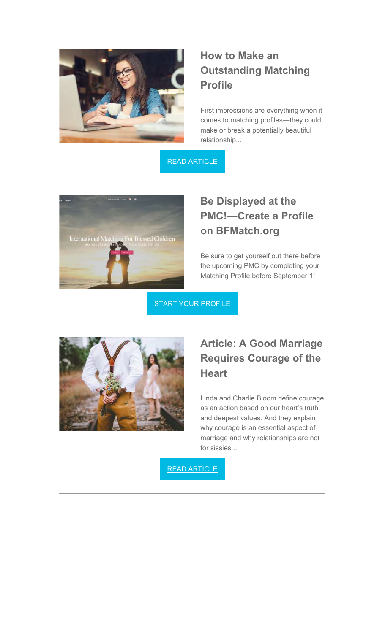

## **How to Make an Outstanding Matching Profile**

First impressions are everything when it comes to matching profiles—they could make or break a potentially beautiful relationship...

READ ARTICLE



## **Be Displayed at the PMC!—Create a Profile on BFMatch.org**

Be sure to get yourself out there before the upcoming PMC by completing your Matching Profile before September 1!

**START YOUR PROFILE** 



### **Article: A Good Marriage Requires Courage of the Heart**

Linda and Charlie Bloom define courage as an action based on our heart's truth and deepest values. And they explain why courage is an essential aspect of marriage and why relationships are not for sissies...

READ ARTICLE